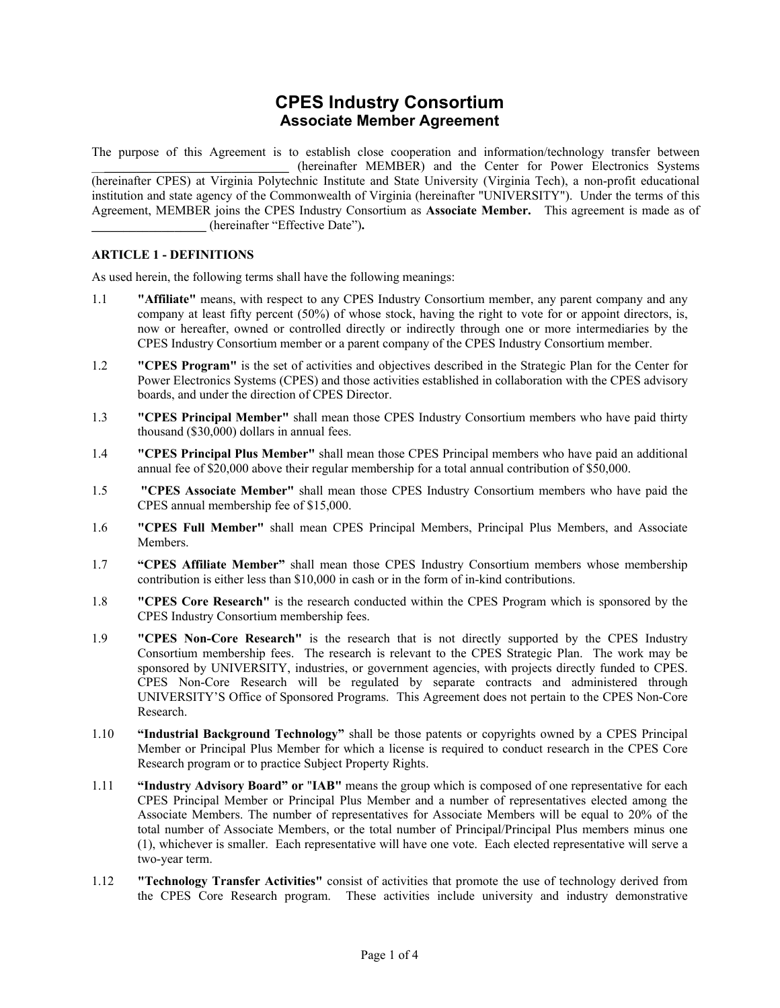# **CPES Industry Consortium Associate Member Agreement**

The purpose of this Agreement is to establish close cooperation and information/technology transfer between \_\_**\_\_\_\_\_\_\_\_\_\_\_\_\_\_\_\_\_\_\_\_\_\_\_\_\_\_\_\_\_** (hereinafter MEMBER) and the Center for Power Electronics Systems (hereinafter CPES) at Virginia Polytechnic Institute and State University (Virginia Tech), a non-profit educational institution and state agency of the Commonwealth of Virginia (hereinafter "UNIVERSITY"). Under the terms of this Agreement, MEMBER joins the CPES Industry Consortium as **Associate Member.** This agreement is made as of **\_\_\_\_\_\_\_\_\_\_\_\_\_\_\_\_\_\_** (hereinafter "Effective Date")**.**

## **ARTICLE 1 - DEFINITIONS**

As used herein, the following terms shall have the following meanings:

- 1.1 **"Affiliate"** means, with respect to any CPES Industry Consortium member, any parent company and any company at least fifty percent (50%) of whose stock, having the right to vote for or appoint directors, is, now or hereafter, owned or controlled directly or indirectly through one or more intermediaries by the CPES Industry Consortium member or a parent company of the CPES Industry Consortium member.
- 1.2 **"CPES Program"** is the set of activities and objectives described in the Strategic Plan for the Center for Power Electronics Systems (CPES) and those activities established in collaboration with the CPES advisory boards, and under the direction of CPES Director.
- 1.3 **"CPES Principal Member"** shall mean those CPES Industry Consortium members who have paid thirty thousand (\$30,000) dollars in annual fees.
- 1.4 **"CPES Principal Plus Member"** shall mean those CPES Principal members who have paid an additional annual fee of \$20,000 above their regular membership for a total annual contribution of \$50,000.
- 1.5 **"CPES Associate Member"** shall mean those CPES Industry Consortium members who have paid the CPES annual membership fee of \$15,000.
- 1.6 **"CPES Full Member"** shall mean CPES Principal Members, Principal Plus Members, and Associate Members.
- 1.7 **"CPES Affiliate Member"** shall mean those CPES Industry Consortium members whose membership contribution is either less than \$10,000 in cash or in the form of in-kind contributions.
- 1.8 **"CPES Core Research"** is the research conducted within the CPES Program which is sponsored by the CPES Industry Consortium membership fees.
- 1.9 **"CPES Non-Core Research"** is the research that is not directly supported by the CPES Industry Consortium membership fees. The research is relevant to the CPES Strategic Plan. The work may be sponsored by UNIVERSITY, industries, or government agencies, with projects directly funded to CPES. CPES Non-Core Research will be regulated by separate contracts and administered through UNIVERSITY'S Office of Sponsored Programs. This Agreement does not pertain to the CPES Non-Core Research.
- 1.10 **"Industrial Background Technology"** shall be those patents or copyrights owned by a CPES Principal Member or Principal Plus Member for which a license is required to conduct research in the CPES Core Research program or to practice Subject Property Rights.
- 1.11 **"Industry Advisory Board" or** "**IAB"** means the group which is composed of one representative for each CPES Principal Member or Principal Plus Member and a number of representatives elected among the Associate Members. The number of representatives for Associate Members will be equal to 20% of the total number of Associate Members, or the total number of Principal/Principal Plus members minus one (1), whichever is smaller. Each representative will have one vote. Each elected representative will serve a two-year term.
- 1.12 **"Technology Transfer Activities"** consist of activities that promote the use of technology derived from the CPES Core Research program. These activities include university and industry demonstrative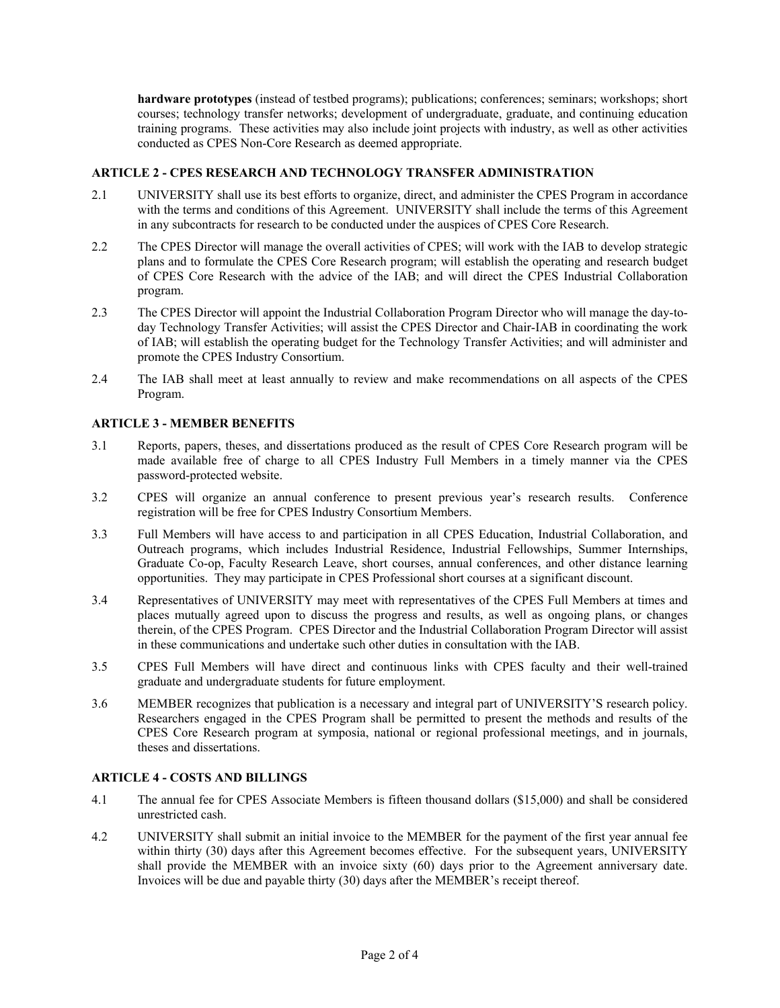**hardware prototypes** (instead of testbed programs); publications; conferences; seminars; workshops; short courses; technology transfer networks; development of undergraduate, graduate, and continuing education training programs. These activities may also include joint projects with industry, as well as other activities conducted as CPES Non-Core Research as deemed appropriate.

#### **ARTICLE 2 - CPES RESEARCH AND TECHNOLOGY TRANSFER ADMINISTRATION**

- 2.1 UNIVERSITY shall use its best efforts to organize, direct, and administer the CPES Program in accordance with the terms and conditions of this Agreement. UNIVERSITY shall include the terms of this Agreement in any subcontracts for research to be conducted under the auspices of CPES Core Research.
- 2.2 The CPES Director will manage the overall activities of CPES; will work with the IAB to develop strategic plans and to formulate the CPES Core Research program; will establish the operating and research budget of CPES Core Research with the advice of the IAB; and will direct the CPES Industrial Collaboration program.
- 2.3 The CPES Director will appoint the Industrial Collaboration Program Director who will manage the day-today Technology Transfer Activities; will assist the CPES Director and Chair-IAB in coordinating the work of IAB; will establish the operating budget for the Technology Transfer Activities; and will administer and promote the CPES Industry Consortium.
- 2.4 The IAB shall meet at least annually to review and make recommendations on all aspects of the CPES Program.

## **ARTICLE 3 - MEMBER BENEFITS**

- 3.1 Reports, papers, theses, and dissertations produced as the result of CPES Core Research program will be made available free of charge to all CPES Industry Full Members in a timely manner via the CPES password-protected website.
- 3.2 CPES will organize an annual conference to present previous year's research results. Conference registration will be free for CPES Industry Consortium Members.
- 3.3 Full Members will have access to and participation in all CPES Education, Industrial Collaboration, and Outreach programs, which includes Industrial Residence, Industrial Fellowships, Summer Internships, Graduate Co-op, Faculty Research Leave, short courses, annual conferences, and other distance learning opportunities. They may participate in CPES Professional short courses at a significant discount.
- 3.4 Representatives of UNIVERSITY may meet with representatives of the CPES Full Members at times and places mutually agreed upon to discuss the progress and results, as well as ongoing plans, or changes therein, of the CPES Program. CPES Director and the Industrial Collaboration Program Director will assist in these communications and undertake such other duties in consultation with the IAB.
- 3.5 CPES Full Members will have direct and continuous links with CPES faculty and their well-trained graduate and undergraduate students for future employment.
- 3.6 MEMBER recognizes that publication is a necessary and integral part of UNIVERSITY'S research policy. Researchers engaged in the CPES Program shall be permitted to present the methods and results of the CPES Core Research program at symposia, national or regional professional meetings, and in journals, theses and dissertations.

#### **ARTICLE 4 - COSTS AND BILLINGS**

- 4.1 The annual fee for CPES Associate Members is fifteen thousand dollars (\$15,000) and shall be considered unrestricted cash.
- 4.2 UNIVERSITY shall submit an initial invoice to the MEMBER for the payment of the first year annual fee within thirty (30) days after this Agreement becomes effective. For the subsequent years, UNIVERSITY shall provide the MEMBER with an invoice sixty (60) days prior to the Agreement anniversary date. Invoices will be due and payable thirty (30) days after the MEMBER's receipt thereof.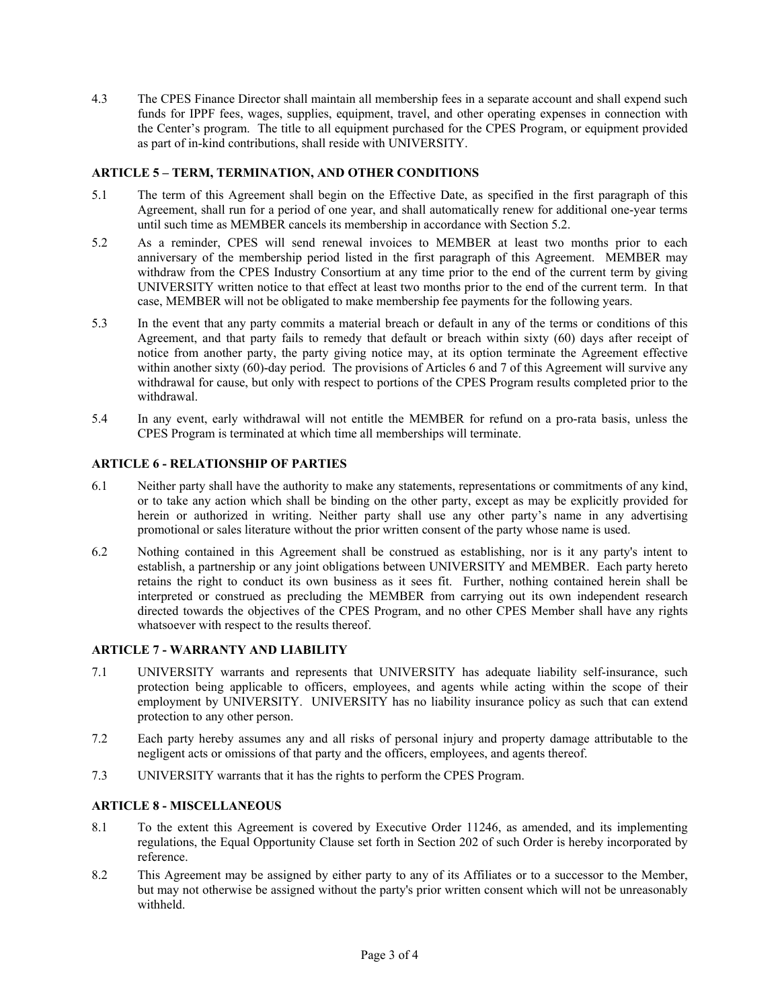4.3 The CPES Finance Director shall maintain all membership fees in a separate account and shall expend such funds for IPPF fees, wages, supplies, equipment, travel, and other operating expenses in connection with the Center's program. The title to all equipment purchased for the CPES Program, or equipment provided as part of in-kind contributions, shall reside with UNIVERSITY.

## **ARTICLE 5 – TERM, TERMINATION, AND OTHER CONDITIONS**

- 5.1 The term of this Agreement shall begin on the Effective Date, as specified in the first paragraph of this Agreement, shall run for a period of one year, and shall automatically renew for additional one-year terms until such time as MEMBER cancels its membership in accordance with Section 5.2.
- 5.2 As a reminder, CPES will send renewal invoices to MEMBER at least two months prior to each anniversary of the membership period listed in the first paragraph of this Agreement. MEMBER may withdraw from the CPES Industry Consortium at any time prior to the end of the current term by giving UNIVERSITY written notice to that effect at least two months prior to the end of the current term. In that case, MEMBER will not be obligated to make membership fee payments for the following years.
- 5.3 In the event that any party commits a material breach or default in any of the terms or conditions of this Agreement, and that party fails to remedy that default or breach within sixty (60) days after receipt of notice from another party, the party giving notice may, at its option terminate the Agreement effective within another sixty (60)-day period. The provisions of Articles 6 and 7 of this Agreement will survive any withdrawal for cause, but only with respect to portions of the CPES Program results completed prior to the withdrawal.
- 5.4 In any event, early withdrawal will not entitle the MEMBER for refund on a pro-rata basis, unless the CPES Program is terminated at which time all memberships will terminate.

## **ARTICLE 6 - RELATIONSHIP OF PARTIES**

- 6.1 Neither party shall have the authority to make any statements, representations or commitments of any kind, or to take any action which shall be binding on the other party, except as may be explicitly provided for herein or authorized in writing. Neither party shall use any other party's name in any advertising promotional or sales literature without the prior written consent of the party whose name is used.
- 6.2 Nothing contained in this Agreement shall be construed as establishing, nor is it any party's intent to establish, a partnership or any joint obligations between UNIVERSITY and MEMBER. Each party hereto retains the right to conduct its own business as it sees fit. Further, nothing contained herein shall be interpreted or construed as precluding the MEMBER from carrying out its own independent research directed towards the objectives of the CPES Program, and no other CPES Member shall have any rights whatsoever with respect to the results thereof.

## **ARTICLE 7 - WARRANTY AND LIABILITY**

- 7.1 UNIVERSITY warrants and represents that UNIVERSITY has adequate liability self-insurance, such protection being applicable to officers, employees, and agents while acting within the scope of their employment by UNIVERSITY. UNIVERSITY has no liability insurance policy as such that can extend protection to any other person.
- 7.2 Each party hereby assumes any and all risks of personal injury and property damage attributable to the negligent acts or omissions of that party and the officers, employees, and agents thereof.
- 7.3 UNIVERSITY warrants that it has the rights to perform the CPES Program.

#### **ARTICLE 8 - MISCELLANEOUS**

- 8.1 To the extent this Agreement is covered by Executive Order 11246, as amended, and its implementing regulations, the Equal Opportunity Clause set forth in Section 202 of such Order is hereby incorporated by reference.
- 8.2 This Agreement may be assigned by either party to any of its Affiliates or to a successor to the Member, but may not otherwise be assigned without the party's prior written consent which will not be unreasonably withheld.